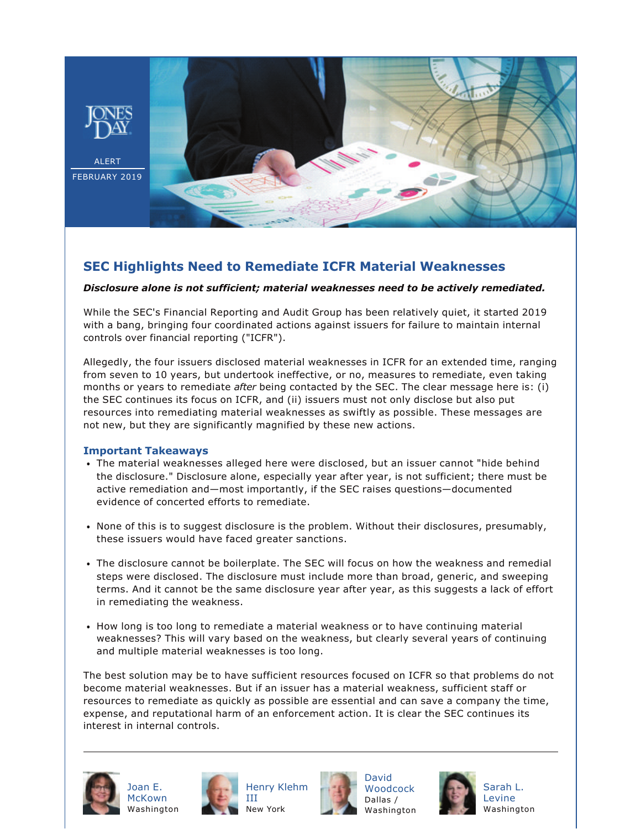

## **SEC Highlights Need to Remediate ICFR Material Weaknesses**

## *Disclosure alone is not sufficient; material weaknesses need to be actively remediated.*

While the SEC's Financial Reporting and Audit Group has been relatively quiet, it started 2019 with a bang, bringing four coordinated actions against issuers for failure to maintain internal controls over financial reporting ("ICFR").

Allegedly, the four issuers disclosed material weaknesses in ICFR for an extended time, ranging from seven to 10 years, but undertook ineffective, or no, measures to remediate, even taking months or years to remediate *after* being contacted by the SEC. The clear message here is: (i) the SEC continues its focus on ICFR, and (ii) issuers must not only disclose but also put resources into remediating material weaknesses as swiftly as possible. These messages are not new, but they are significantly magnified by these new actions.

## **Important Takeaways**

- The material weaknesses alleged here were disclosed, but an issuer cannot "hide behind the disclosure." Disclosure alone, especially year after year, is not sufficient; there must be active remediation and—most importantly, if the SEC raises questions—documented evidence of concerted efforts to remediate.
- None of this is to suggest disclosure is the problem. Without their disclosures, presumably, these issuers would have faced greater sanctions.
- The disclosure cannot be boilerplate. The SEC will focus on how the weakness and remedial steps were disclosed. The disclosure must include more than broad, generic, and sweeping terms. And it cannot be the same disclosure year after year, as this suggests a lack of effort in remediating the weakness.
- How long is too long to remediate a material weakness or to have continuing material weaknesses? This will vary based on the weakness, but clearly several years of continuing and multiple material weaknesses is too long.

The best solution may be to have sufficient resources focused on ICFR so that problems do not become material weaknesses. But if an issuer has a material weakness, sufficient staff or resources to remediate as quickly as possible are essential and can save a company the time, expense, and reputational harm of an enforcement action. It is clear the SEC continues its interest in internal controls.



[Joan E.](https://www.jonesday.com/jemckown/) [McKown](https://www.jonesday.com/jemckown/)



[Henry Klehm](https://www.jonesday.com/hklehm/) [III](https://www.jonesday.com/hklehm/) New York



[David](https://www.jonesday.com/dwoodcock/)  [Woodcock](https://www.jonesday.com/dwoodcock/) Dallas / Washington